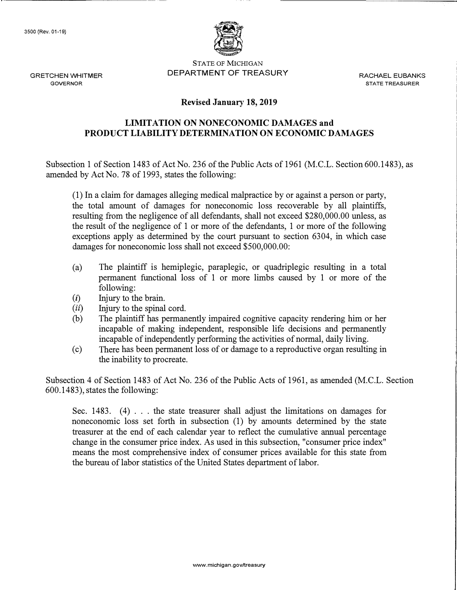

STATE OF MICHIGAN GRETCHEN WHITMER DEPARTMENT OF TREASURY RACHAEL EUBANKS

GOVERNOR **STATE TREASURER** 

## **Revised January 18, 2019**

## **LIMITATION ON NONECONOMIC DAMAGES and PRODUCT LIABILITY DETERMINATION ON ECONOMIC DAMAGES**

Subsection 1 of Section 1483 of Act No. 236 of the Public Acts of 1961 (M.C.L. Section 600.1483), as amended by Act No. 78 of 1993, states the following:

(1) In a claim for damages alleging medical malpractice by or against a person or party, the total amount of damages for noneconomic loss recoverable by all plaintiffs, resulting from the negligence of all defendants, shall not exceed \$[280,000.00](https://280,000.00) unless, as the result of the negligence of 1 or more of the defendants, 1 or more of the following exceptions apply as determined by the court pursuant to section 6304, in which case damages for noneconomic loss shall not exceed \$[500,000.00:](https://500,000.00)

- (a) The plaintiff is hemiplegic, paraplegic, or quadriplegic resulting in a total permanent functional loss of 1 or more limbs caused by 1 or more of the following:
- (i) Injury to the brain.
- *(ii)* Injury to the spinal cord.
- (b) The plaintiff has permanently impaired cognitive capacity rendering him or her incapable of making independent, responsible life decisions and permanently incapable of independently performing the activities of normal, daily living.
- (c) There has been permanent loss of or damage to a reproductive organ resulting in the inability to procreate.

Subsection 4 of Section 1483 of Act No. 236 of the Public Acts of 1961, as amended (M.C.L. Section 600.1483), states the following:

Sec. 1483. (4)  $\ldots$  the state treasurer shall adjust the limitations on damages for noneconomic loss set forth in subsection (1) by amounts determined by the state treasurer at the end of each calendar year to reflect the cumulative annual percentage change in the consumer price index. As used in this subsection, "consumer price index" means the most comprehensive index of consumer prices available for this state from the bureau of labor statistics of the United States department of labor.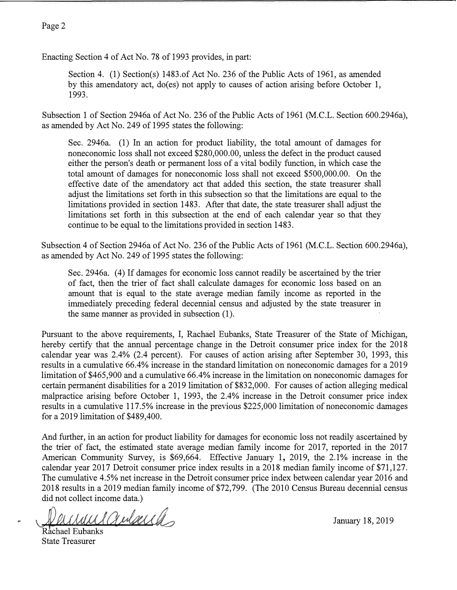## Page 2

Enacting Section 4 of Act No. 78 of 1993 provides, in part:

Section 4. (1) Section(s) 1483.of Act No. 236 of the Public Acts of 1961, as amended by this amendatory act, do(es) not apply to causes of action arising before October 1, 1993.

Subsection 1 of Section 2946a of Act No. 236 of the Public Acts of 1961 (M.C.L. Section 600.2946a), as amended by Act No. 249 of 1995 states the following:

Sec. 2946a. (1) In an action for product liability, the total amount of damages for noneconomic loss shall not exceed \$[280,000.00,](https://280,000.00) unless the defect in the product caused either the person's death or permanent loss of a vital bodily function, in which case the total amount of damages for noneconomic loss shall not exceed \$[500,000.00.](https://500,000.00) On the effective date of the amendatory act that added this section, the state treasurer shall adjust the limitations set forth in this subsection so that the limitations are equal to the limitations provided in section 1483. After that date, the state treasurer shall adjust the limitations set forth in this subsection at the end of each calendar year so that they continue to be equal to the limitations provided in section 1483.

Subsection 4 of Section 2946a of Act No. 236 of the Public Acts of 1961 (M.C.L. Section 600.2946a), as amended by Act No. 249 of 1995 states the following:

Sec. 2946a. (4) If damages for economic loss cannot readily be ascertained by the trier of fact, then the trier of fact shall calculate damages for economic loss based on an amount that is equal to the state average median family income as reported in the immediately preceding federal decennial census and adjusted by the state treasurer in the same manner as provided in subsection (1).

Pursuant to the above requirements, I, Rachael Eubanks, State Treasurer of the State of Michigan, hereby certify that the annual percentage change in the Detroit consumer price index for the 2018 calendar year was 2.4% (2.4 percent). For causes of action arising after September 30, 1993, this results in a cumulative 66.4% increase in the standard limitation on noneconomic damages for a 2019 limitation of \$465,900 and a cumulative 66.4% increase in the limitation on noneconomic damages for certain permanent disabilities for a 2019 limitation of \$832,000. For causes of action alleging medical malpractice arising before October 1, 1993, the 2.4% increase in the Detroit consumer price index results in a cumulative 117.5% increase in the previous \$225,000 limitation of noneconomic damages for a 2019 limitation of \$489,400.

And further, in an action for product liability for damages for economic loss not readily ascertained by the trier of fact, the estimated state average median family income for 2017, reported in the 2017 American Community Survey, is \$69,664. Effective January 1, 2019, the 2.1% increase in the calendar year 2017 Detroit consumer price index results in a 2018 median family income of \$71,127. The cumulative 4.5% net increase in the Detroit consumer price index between calendar year 2016 and 2018 results in a 2019 median family income of \$72,799. (The 2010 Census Bureau decennial census did not collect income data.)

wil Gubecch

Rachael Eubanks State Treasurer

January 18, 2019